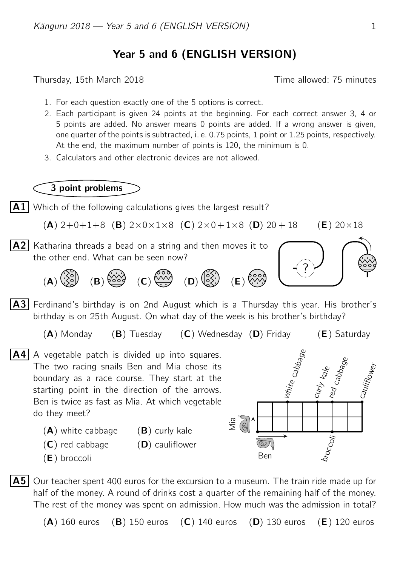## Year 5 and 6 (ENGLISH VERSION)

Thursday, 15th March 2018 Time allowed: 75 minutes

- 1. For each question exactly one of the 5 options is correct.
- 2. Each participant is given 24 points at the beginning. For each correct answer 3, 4 or 5 points are added. No answer means 0 points are added. If a wrong answer is given, one quarter of the points is subtracted, i. e. 0.75 points, 1 point or 1.25 points, respectively. At the end, the maximum number of points is 120, the minimum is 0.
- 3. Calculators and other electronic devices are not allowed.

## 3 point problems



- $(A)$  white cabbage  $(B)$  curly kale
- $(C)$  red cabbage  $(D)$  cauliflower
- 
- (E) broccoli

do they meet?



 $|\mathbf{A5}|$  Our teacher spent 400 euros for the excursion to a museum. The train ride made up for half of the money. A round of drinks cost a quarter of the remaining half of the money. The rest of the money was spent on admission. How much was the admission in total?

 $(A)$  160 euros (B) 150 euros (C) 140 euros (D) 130 euros (E) 120 euros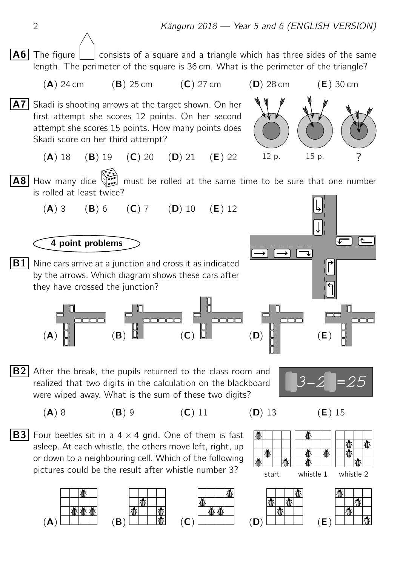

realized that two digits in the calculation on the blackboard were wiped away. What is the sum of these two digits?



(A) 8 (B) 9 (C) 11 (D) 13 (E) 15



**I** 



**B3** Four beetles sit in a  $4 \times 4$  grid. One of them is fast asleep. At each whistle, the others move left, right, up or down to a neighbouring cell. Which of the following pictures could be the result after whistle number 3?









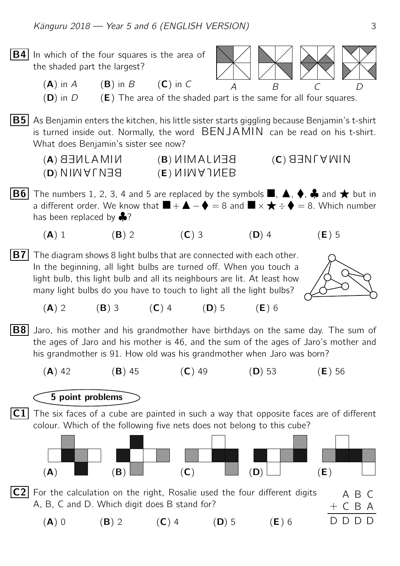